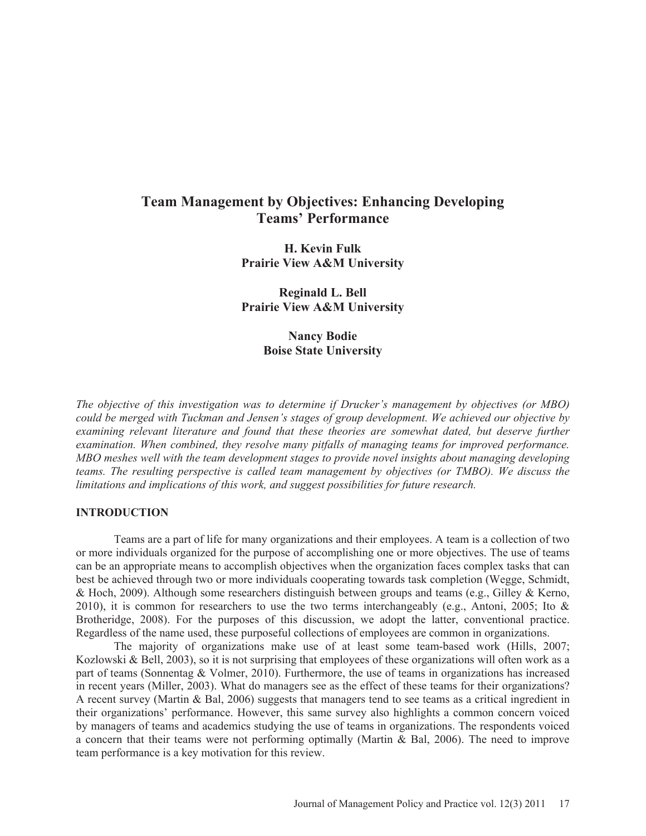# **Team Management by Objectives: Enhancing Developing Teams' Performance**

**H. Kevin Fulk Prairie View A&M University** 

**Reginald L. Bell Prairie View A&M University** 

> **Nancy Bodie Boise State University**

*The objective of this investigation was to determine if Drucker's management by objectives (or MBO) could be merged with Tuckman and Jensen's stages of group development. We achieved our objective by examining relevant literature and found that these theories are somewhat dated, but deserve further examination. When combined, they resolve many pitfalls of managing teams for improved performance. MBO meshes well with the team development stages to provide novel insights about managing developing teams. The resulting perspective is called team management by objectives (or TMBO). We discuss the limitations and implications of this work, and suggest possibilities for future research.* 

### **INTRODUCTION**

Teams are a part of life for many organizations and their employees. A team is a collection of two or more individuals organized for the purpose of accomplishing one or more objectives. The use of teams can be an appropriate means to accomplish objectives when the organization faces complex tasks that can best be achieved through two or more individuals cooperating towards task completion (Wegge, Schmidt, & Hoch, 2009). Although some researchers distinguish between groups and teams (e.g., Gilley & Kerno, 2010), it is common for researchers to use the two terms interchangeably (e.g., Antoni, 2005; Ito & Brotheridge, 2008). For the purposes of this discussion, we adopt the latter, conventional practice. Regardless of the name used, these purposeful collections of employees are common in organizations.

The majority of organizations make use of at least some team-based work (Hills, 2007; Kozlowski & Bell, 2003), so it is not surprising that employees of these organizations will often work as a part of teams (Sonnentag & Volmer, 2010). Furthermore, the use of teams in organizations has increased in recent years (Miller, 2003). What do managers see as the effect of these teams for their organizations? A recent survey (Martin & Bal, 2006) suggests that managers tend to see teams as a critical ingredient in their organizations' performance. However, this same survey also highlights a common concern voiced by managers of teams and academics studying the use of teams in organizations. The respondents voiced a concern that their teams were not performing optimally (Martin & Bal, 2006). The need to improve team performance is a key motivation for this review.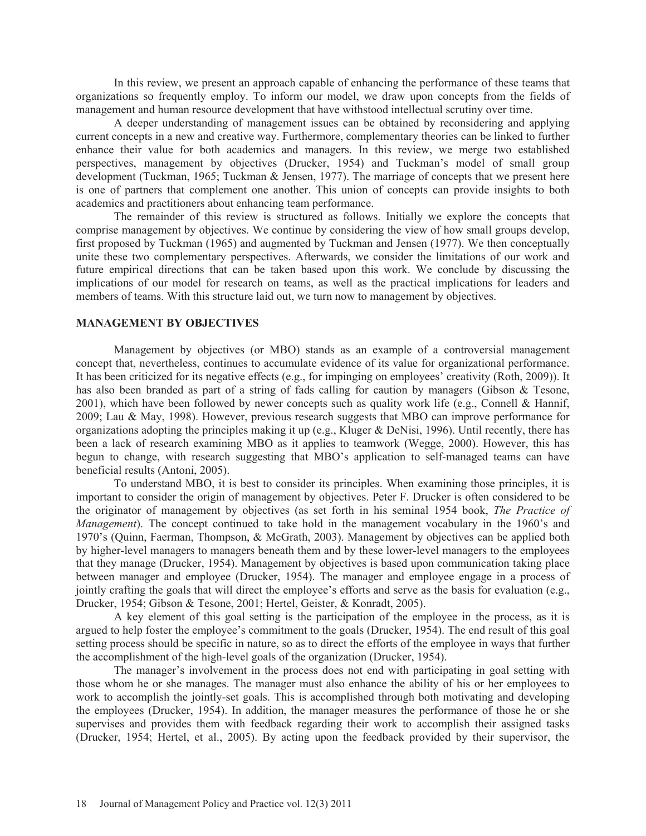In this review, we present an approach capable of enhancing the performance of these teams that organizations so frequently employ. To inform our model, we draw upon concepts from the fields of management and human resource development that have withstood intellectual scrutiny over time.

A deeper understanding of management issues can be obtained by reconsidering and applying current concepts in a new and creative way. Furthermore, complementary theories can be linked to further enhance their value for both academics and managers. In this review, we merge two established perspectives, management by objectives (Drucker, 1954) and Tuckman's model of small group development (Tuckman, 1965; Tuckman & Jensen, 1977). The marriage of concepts that we present here is one of partners that complement one another. This union of concepts can provide insights to both academics and practitioners about enhancing team performance.

The remainder of this review is structured as follows. Initially we explore the concepts that comprise management by objectives. We continue by considering the view of how small groups develop, first proposed by Tuckman (1965) and augmented by Tuckman and Jensen (1977). We then conceptually unite these two complementary perspectives. Afterwards, we consider the limitations of our work and future empirical directions that can be taken based upon this work. We conclude by discussing the implications of our model for research on teams, as well as the practical implications for leaders and members of teams. With this structure laid out, we turn now to management by objectives.

#### **MANAGEMENT BY OBJECTIVES**

Management by objectives (or MBO) stands as an example of a controversial management concept that, nevertheless, continues to accumulate evidence of its value for organizational performance. It has been criticized for its negative effects (e.g., for impinging on employees' creativity (Roth, 2009)). It has also been branded as part of a string of fads calling for caution by managers (Gibson & Tesone, 2001), which have been followed by newer concepts such as quality work life (e.g., Connell & Hannif, 2009; Lau & May, 1998). However, previous research suggests that MBO can improve performance for organizations adopting the principles making it up (e.g., Kluger & DeNisi, 1996). Until recently, there has been a lack of research examining MBO as it applies to teamwork (Wegge, 2000). However, this has begun to change, with research suggesting that MBO's application to self-managed teams can have beneficial results (Antoni, 2005).

To understand MBO, it is best to consider its principles. When examining those principles, it is important to consider the origin of management by objectives. Peter F. Drucker is often considered to be the originator of management by objectives (as set forth in his seminal 1954 book, *The Practice of Management*). The concept continued to take hold in the management vocabulary in the 1960's and 1970's (Quinn, Faerman, Thompson, & McGrath, 2003). Management by objectives can be applied both by higher-level managers to managers beneath them and by these lower-level managers to the employees that they manage (Drucker, 1954). Management by objectives is based upon communication taking place between manager and employee (Drucker, 1954). The manager and employee engage in a process of jointly crafting the goals that will direct the employee's efforts and serve as the basis for evaluation (e.g., Drucker, 1954; Gibson & Tesone, 2001; Hertel, Geister, & Konradt, 2005).

A key element of this goal setting is the participation of the employee in the process, as it is argued to help foster the employee's commitment to the goals (Drucker, 1954). The end result of this goal setting process should be specific in nature, so as to direct the efforts of the employee in ways that further the accomplishment of the high-level goals of the organization (Drucker, 1954).

The manager's involvement in the process does not end with participating in goal setting with those whom he or she manages. The manager must also enhance the ability of his or her employees to work to accomplish the jointly-set goals. This is accomplished through both motivating and developing the employees (Drucker, 1954). In addition, the manager measures the performance of those he or she supervises and provides them with feedback regarding their work to accomplish their assigned tasks (Drucker, 1954; Hertel, et al., 2005). By acting upon the feedback provided by their supervisor, the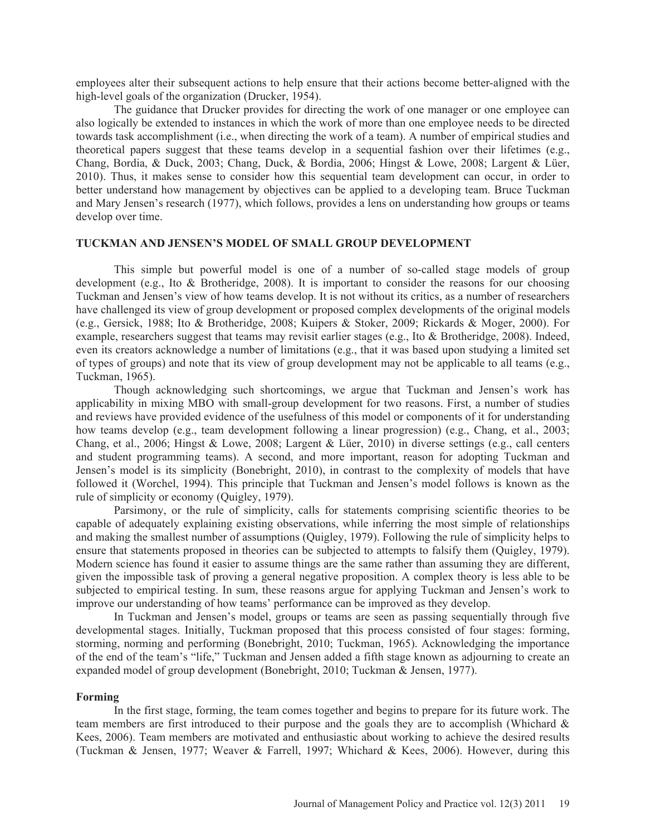employees alter their subsequent actions to help ensure that their actions become better-aligned with the high-level goals of the organization (Drucker, 1954).

The guidance that Drucker provides for directing the work of one manager or one employee can also logically be extended to instances in which the work of more than one employee needs to be directed towards task accomplishment (i.e., when directing the work of a team). A number of empirical studies and theoretical papers suggest that these teams develop in a sequential fashion over their lifetimes (e.g., Chang, Bordia, & Duck, 2003; Chang, Duck, & Bordia, 2006; Hingst & Lowe, 2008; Largent & Lüer, 2010). Thus, it makes sense to consider how this sequential team development can occur, in order to better understand how management by objectives can be applied to a developing team. Bruce Tuckman and Mary Jensen's research (1977), which follows, provides a lens on understanding how groups or teams develop over time.

### **TUCKMAN AND JENSEN'S MODEL OF SMALL GROUP DEVELOPMENT**

This simple but powerful model is one of a number of so-called stage models of group development (e.g., Ito & Brotheridge, 2008). It is important to consider the reasons for our choosing Tuckman and Jensen's view of how teams develop. It is not without its critics, as a number of researchers have challenged its view of group development or proposed complex developments of the original models (e.g., Gersick, 1988; Ito & Brotheridge, 2008; Kuipers & Stoker, 2009; Rickards & Moger, 2000). For example, researchers suggest that teams may revisit earlier stages (e.g., Ito & Brotheridge, 2008). Indeed, even its creators acknowledge a number of limitations (e.g., that it was based upon studying a limited set of types of groups) and note that its view of group development may not be applicable to all teams (e.g., Tuckman, 1965).

Though acknowledging such shortcomings, we argue that Tuckman and Jensen's work has applicability in mixing MBO with small-group development for two reasons. First, a number of studies and reviews have provided evidence of the usefulness of this model or components of it for understanding how teams develop (e.g., team development following a linear progression) (e.g., Chang, et al., 2003; Chang, et al., 2006; Hingst & Lowe, 2008; Largent & Lüer, 2010) in diverse settings (e.g., call centers and student programming teams). A second, and more important, reason for adopting Tuckman and Jensen's model is its simplicity (Bonebright, 2010), in contrast to the complexity of models that have followed it (Worchel, 1994). This principle that Tuckman and Jensen's model follows is known as the rule of simplicity or economy (Quigley, 1979).

Parsimony, or the rule of simplicity, calls for statements comprising scientific theories to be capable of adequately explaining existing observations, while inferring the most simple of relationships and making the smallest number of assumptions (Quigley, 1979). Following the rule of simplicity helps to ensure that statements proposed in theories can be subjected to attempts to falsify them (Quigley, 1979). Modern science has found it easier to assume things are the same rather than assuming they are different, given the impossible task of proving a general negative proposition. A complex theory is less able to be subjected to empirical testing. In sum, these reasons argue for applying Tuckman and Jensen's work to improve our understanding of how teams' performance can be improved as they develop.

In Tuckman and Jensen's model, groups or teams are seen as passing sequentially through five developmental stages. Initially, Tuckman proposed that this process consisted of four stages: forming, storming, norming and performing (Bonebright, 2010; Tuckman, 1965). Acknowledging the importance of the end of the team's "life," Tuckman and Jensen added a fifth stage known as adjourning to create an expanded model of group development (Bonebright, 2010; Tuckman & Jensen, 1977).

#### **Forming**

In the first stage, forming, the team comes together and begins to prepare for its future work. The team members are first introduced to their purpose and the goals they are to accomplish (Whichard & Kees, 2006). Team members are motivated and enthusiastic about working to achieve the desired results (Tuckman & Jensen, 1977; Weaver & Farrell, 1997; Whichard & Kees, 2006). However, during this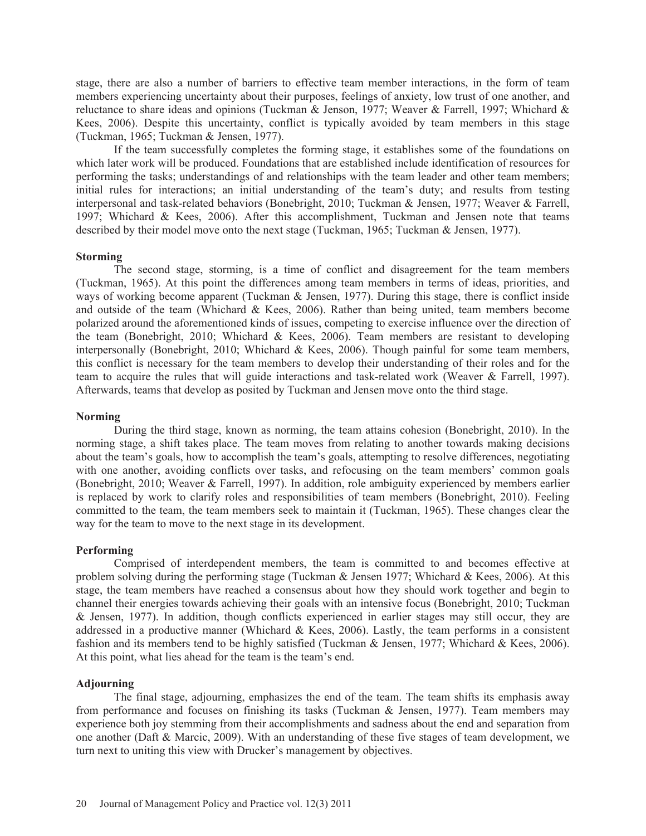stage, there are also a number of barriers to effective team member interactions, in the form of team members experiencing uncertainty about their purposes, feelings of anxiety, low trust of one another, and reluctance to share ideas and opinions (Tuckman & Jenson, 1977; Weaver & Farrell, 1997; Whichard & Kees, 2006). Despite this uncertainty, conflict is typically avoided by team members in this stage (Tuckman, 1965; Tuckman & Jensen, 1977).

If the team successfully completes the forming stage, it establishes some of the foundations on which later work will be produced. Foundations that are established include identification of resources for performing the tasks; understandings of and relationships with the team leader and other team members; initial rules for interactions; an initial understanding of the team's duty; and results from testing interpersonal and task-related behaviors (Bonebright, 2010; Tuckman & Jensen, 1977; Weaver & Farrell, 1997; Whichard & Kees, 2006). After this accomplishment, Tuckman and Jensen note that teams described by their model move onto the next stage (Tuckman, 1965; Tuckman & Jensen, 1977).

#### **Storming**

The second stage, storming, is a time of conflict and disagreement for the team members (Tuckman, 1965). At this point the differences among team members in terms of ideas, priorities, and ways of working become apparent (Tuckman & Jensen, 1977). During this stage, there is conflict inside and outside of the team (Whichard  $& Kees, 2006$ ). Rather than being united, team members become polarized around the aforementioned kinds of issues, competing to exercise influence over the direction of the team (Bonebright, 2010; Whichard & Kees, 2006). Team members are resistant to developing interpersonally (Bonebright, 2010; Whichard & Kees, 2006). Though painful for some team members, this conflict is necessary for the team members to develop their understanding of their roles and for the team to acquire the rules that will guide interactions and task-related work (Weaver & Farrell, 1997). Afterwards, teams that develop as posited by Tuckman and Jensen move onto the third stage.

### **Norming**

During the third stage, known as norming, the team attains cohesion (Bonebright, 2010). In the norming stage, a shift takes place. The team moves from relating to another towards making decisions about the team's goals, how to accomplish the team's goals, attempting to resolve differences, negotiating with one another, avoiding conflicts over tasks, and refocusing on the team members' common goals (Bonebright, 2010; Weaver & Farrell, 1997). In addition, role ambiguity experienced by members earlier is replaced by work to clarify roles and responsibilities of team members (Bonebright, 2010). Feeling committed to the team, the team members seek to maintain it (Tuckman, 1965). These changes clear the way for the team to move to the next stage in its development.

#### **Performing**

Comprised of interdependent members, the team is committed to and becomes effective at problem solving during the performing stage (Tuckman  $&$  Jensen 1977; Whichard  $&$  Kees, 2006). At this stage, the team members have reached a consensus about how they should work together and begin to channel their energies towards achieving their goals with an intensive focus (Bonebright, 2010; Tuckman & Jensen, 1977). In addition, though conflicts experienced in earlier stages may still occur, they are addressed in a productive manner (Whichard & Kees, 2006). Lastly, the team performs in a consistent fashion and its members tend to be highly satisfied (Tuckman & Jensen, 1977; Whichard & Kees, 2006). At this point, what lies ahead for the team is the team's end.

### **Adjourning**

The final stage, adjourning, emphasizes the end of the team. The team shifts its emphasis away from performance and focuses on finishing its tasks (Tuckman & Jensen, 1977). Team members may experience both joy stemming from their accomplishments and sadness about the end and separation from one another (Daft & Marcic, 2009). With an understanding of these five stages of team development, we turn next to uniting this view with Drucker's management by objectives.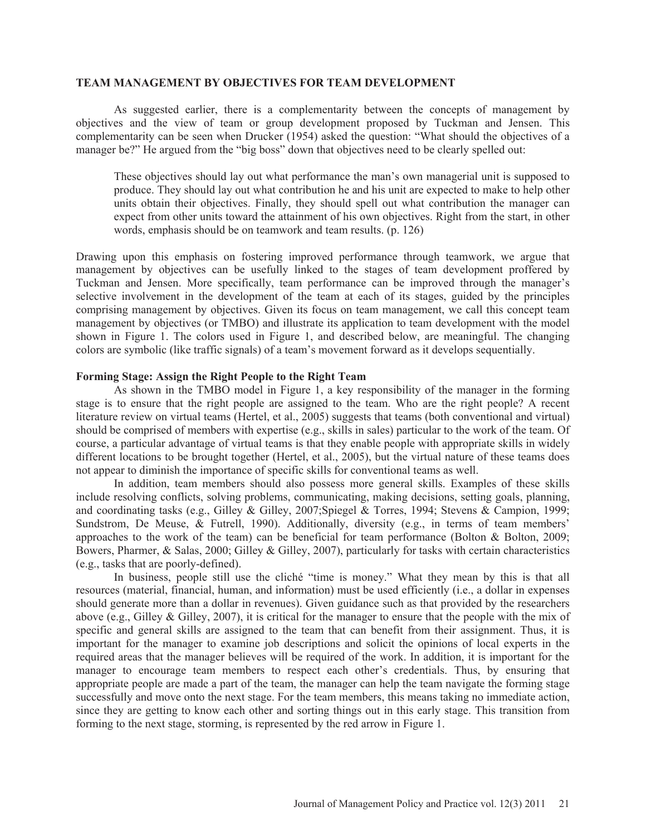#### **TEAM MANAGEMENT BY OBJECTIVES FOR TEAM DEVELOPMENT**

As suggested earlier, there is a complementarity between the concepts of management by objectives and the view of team or group development proposed by Tuckman and Jensen. This complementarity can be seen when Drucker (1954) asked the question: "What should the objectives of a manager be?" He argued from the "big boss" down that objectives need to be clearly spelled out:

These objectives should lay out what performance the man's own managerial unit is supposed to produce. They should lay out what contribution he and his unit are expected to make to help other units obtain their objectives. Finally, they should spell out what contribution the manager can expect from other units toward the attainment of his own objectives. Right from the start, in other words, emphasis should be on teamwork and team results. (p. 126)

Drawing upon this emphasis on fostering improved performance through teamwork, we argue that management by objectives can be usefully linked to the stages of team development proffered by Tuckman and Jensen. More specifically, team performance can be improved through the manager's selective involvement in the development of the team at each of its stages, guided by the principles comprising management by objectives. Given its focus on team management, we call this concept team management by objectives (or TMBO) and illustrate its application to team development with the model shown in Figure 1. The colors used in Figure 1, and described below, are meaningful. The changing colors are symbolic (like traffic signals) of a team's movement forward as it develops sequentially.

### **Forming Stage: Assign the Right People to the Right Team**

As shown in the TMBO model in Figure 1, a key responsibility of the manager in the forming stage is to ensure that the right people are assigned to the team. Who are the right people? A recent literature review on virtual teams (Hertel, et al., 2005) suggests that teams (both conventional and virtual) should be comprised of members with expertise (e.g., skills in sales) particular to the work of the team. Of course, a particular advantage of virtual teams is that they enable people with appropriate skills in widely different locations to be brought together (Hertel, et al., 2005), but the virtual nature of these teams does not appear to diminish the importance of specific skills for conventional teams as well.

In addition, team members should also possess more general skills. Examples of these skills include resolving conflicts, solving problems, communicating, making decisions, setting goals, planning, and coordinating tasks (e.g., Gilley & Gilley, 2007;Spiegel & Torres, 1994; Stevens & Campion, 1999; Sundstrom, De Meuse, & Futrell, 1990). Additionally, diversity (e.g., in terms of team members' approaches to the work of the team) can be beneficial for team performance (Bolton & Bolton, 2009; Bowers, Pharmer, & Salas, 2000; Gilley & Gilley, 2007), particularly for tasks with certain characteristics (e.g., tasks that are poorly-defined).

In business, people still use the cliché "time is money." What they mean by this is that all resources (material, financial, human, and information) must be used efficiently (i.e., a dollar in expenses should generate more than a dollar in revenues). Given guidance such as that provided by the researchers above (e.g., Gilley & Gilley, 2007), it is critical for the manager to ensure that the people with the mix of specific and general skills are assigned to the team that can benefit from their assignment. Thus, it is important for the manager to examine job descriptions and solicit the opinions of local experts in the required areas that the manager believes will be required of the work. In addition, it is important for the manager to encourage team members to respect each other's credentials. Thus, by ensuring that appropriate people are made a part of the team, the manager can help the team navigate the forming stage successfully and move onto the next stage. For the team members, this means taking no immediate action, since they are getting to know each other and sorting things out in this early stage. This transition from forming to the next stage, storming, is represented by the red arrow in Figure 1.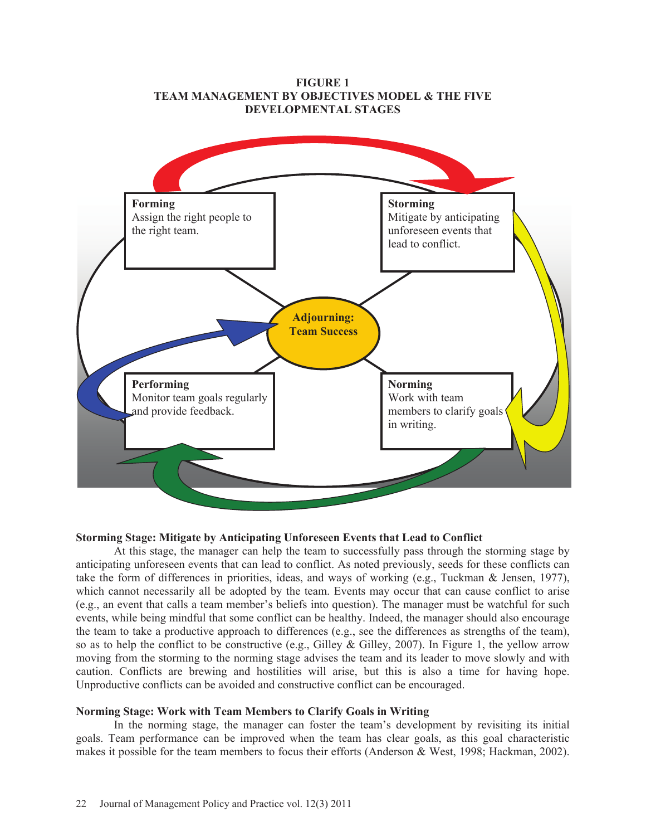

### **FIGURE 1 TEAM MANAGEMENT BY OBJECTIVES MODEL & THE FIVE DEVELOPMENTAL STAGES**

# **Storming Stage: Mitigate by Anticipating Unforeseen Events that Lead to Conflict**

At this stage, the manager can help the team to successfully pass through the storming stage by anticipating unforeseen events that can lead to conflict. As noted previously, seeds for these conflicts can take the form of differences in priorities, ideas, and ways of working (e.g., Tuckman & Jensen, 1977), which cannot necessarily all be adopted by the team. Events may occur that can cause conflict to arise (e.g., an event that calls a team member's beliefs into question). The manager must be watchful for such events, while being mindful that some conflict can be healthy. Indeed, the manager should also encourage the team to take a productive approach to differences (e.g., see the differences as strengths of the team), so as to help the conflict to be constructive (e.g., Gilley & Gilley, 2007). In Figure 1, the yellow arrow moving from the storming to the norming stage advises the team and its leader to move slowly and with caution. Conflicts are brewing and hostilities will arise, but this is also a time for having hope. Unproductive conflicts can be avoided and constructive conflict can be encouraged.

### **Norming Stage: Work with Team Members to Clarify Goals in Writing**

In the norming stage, the manager can foster the team's development by revisiting its initial goals. Team performance can be improved when the team has clear goals, as this goal characteristic makes it possible for the team members to focus their efforts (Anderson & West, 1998; Hackman, 2002).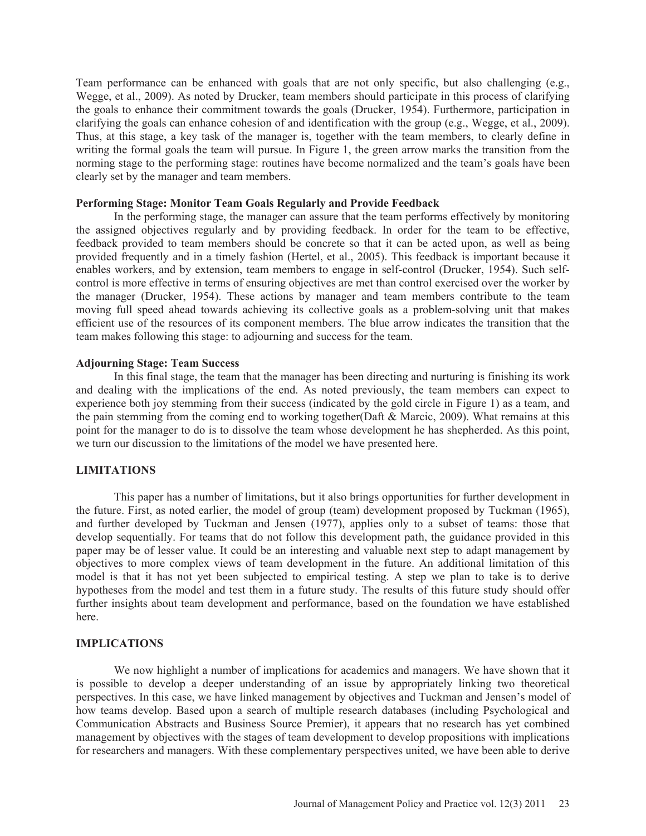Team performance can be enhanced with goals that are not only specific, but also challenging (e.g., Wegge, et al., 2009). As noted by Drucker, team members should participate in this process of clarifying the goals to enhance their commitment towards the goals (Drucker, 1954). Furthermore, participation in clarifying the goals can enhance cohesion of and identification with the group (e.g., Wegge, et al., 2009). Thus, at this stage, a key task of the manager is, together with the team members, to clearly define in writing the formal goals the team will pursue. In Figure 1, the green arrow marks the transition from the norming stage to the performing stage: routines have become normalized and the team's goals have been clearly set by the manager and team members.

### **Performing Stage: Monitor Team Goals Regularly and Provide Feedback**

In the performing stage, the manager can assure that the team performs effectively by monitoring the assigned objectives regularly and by providing feedback. In order for the team to be effective, feedback provided to team members should be concrete so that it can be acted upon, as well as being provided frequently and in a timely fashion (Hertel, et al., 2005). This feedback is important because it enables workers, and by extension, team members to engage in self-control (Drucker, 1954). Such selfcontrol is more effective in terms of ensuring objectives are met than control exercised over the worker by the manager (Drucker, 1954). These actions by manager and team members contribute to the team moving full speed ahead towards achieving its collective goals as a problem-solving unit that makes efficient use of the resources of its component members. The blue arrow indicates the transition that the team makes following this stage: to adjourning and success for the team.

#### **Adjourning Stage: Team Success**

In this final stage, the team that the manager has been directing and nurturing is finishing its work and dealing with the implications of the end. As noted previously, the team members can expect to experience both joy stemming from their success (indicated by the gold circle in Figure 1) as a team, and the pain stemming from the coming end to working together(Daft & Marcic, 2009). What remains at this point for the manager to do is to dissolve the team whose development he has shepherded. As this point, we turn our discussion to the limitations of the model we have presented here.

# **LIMITATIONS**

This paper has a number of limitations, but it also brings opportunities for further development in the future. First, as noted earlier, the model of group (team) development proposed by Tuckman (1965), and further developed by Tuckman and Jensen (1977), applies only to a subset of teams: those that develop sequentially. For teams that do not follow this development path, the guidance provided in this paper may be of lesser value. It could be an interesting and valuable next step to adapt management by objectives to more complex views of team development in the future. An additional limitation of this model is that it has not yet been subjected to empirical testing. A step we plan to take is to derive hypotheses from the model and test them in a future study. The results of this future study should offer further insights about team development and performance, based on the foundation we have established here.

# **IMPLICATIONS**

We now highlight a number of implications for academics and managers. We have shown that it is possible to develop a deeper understanding of an issue by appropriately linking two theoretical perspectives. In this case, we have linked management by objectives and Tuckman and Jensen's model of how teams develop. Based upon a search of multiple research databases (including Psychological and Communication Abstracts and Business Source Premier), it appears that no research has yet combined management by objectives with the stages of team development to develop propositions with implications for researchers and managers. With these complementary perspectives united, we have been able to derive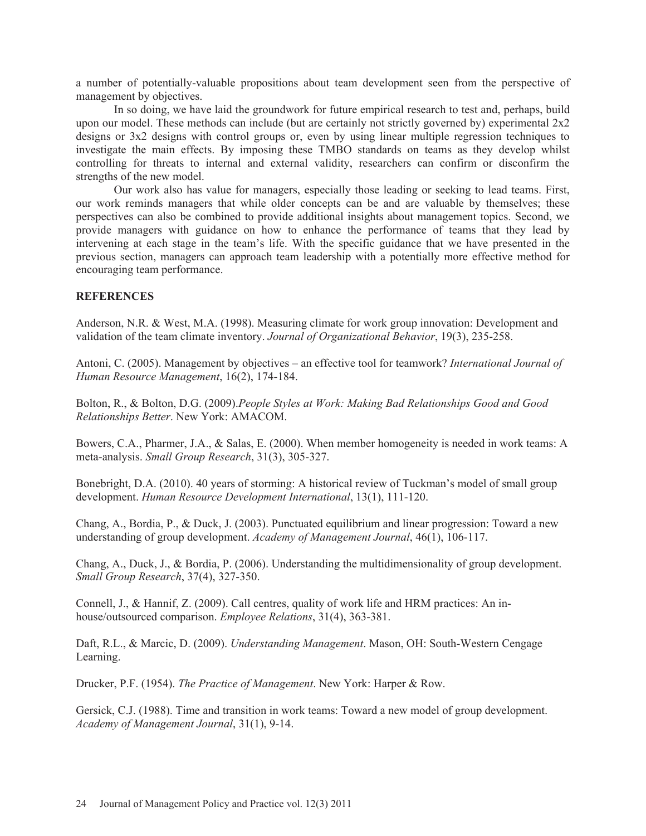a number of potentially-valuable propositions about team development seen from the perspective of management by objectives.

In so doing, we have laid the groundwork for future empirical research to test and, perhaps, build upon our model. These methods can include (but are certainly not strictly governed by) experimental 2x2 designs or 3x2 designs with control groups or, even by using linear multiple regression techniques to investigate the main effects. By imposing these TMBO standards on teams as they develop whilst controlling for threats to internal and external validity, researchers can confirm or disconfirm the strengths of the new model.

Our work also has value for managers, especially those leading or seeking to lead teams. First, our work reminds managers that while older concepts can be and are valuable by themselves; these perspectives can also be combined to provide additional insights about management topics. Second, we provide managers with guidance on how to enhance the performance of teams that they lead by intervening at each stage in the team's life. With the specific guidance that we have presented in the previous section, managers can approach team leadership with a potentially more effective method for encouraging team performance.

# **REFERENCES**

Anderson, N.R. & West, M.A. (1998). Measuring climate for work group innovation: Development and validation of the team climate inventory. *Journal of Organizational Behavior*, 19(3), 235-258.

Antoni, C. (2005). Management by objectives – an effective tool for teamwork? *International Journal of Human Resource Management*, 16(2), 174-184.

Bolton, R., & Bolton, D.G. (2009).*People Styles at Work: Making Bad Relationships Good and Good Relationships Better*. New York: AMACOM.

Bowers, C.A., Pharmer, J.A., & Salas, E. (2000). When member homogeneity is needed in work teams: A meta-analysis. *Small Group Research*, 31(3), 305-327.

Bonebright, D.A. (2010). 40 years of storming: A historical review of Tuckman's model of small group development. *Human Resource Development International*, 13(1), 111-120.

Chang, A., Bordia, P., & Duck, J. (2003). Punctuated equilibrium and linear progression: Toward a new understanding of group development. *Academy of Management Journal*, 46(1), 106-117.

Chang, A., Duck, J., & Bordia, P. (2006). Understanding the multidimensionality of group development. *Small Group Research*, 37(4), 327-350.

Connell, J., & Hannif, Z. (2009). Call centres, quality of work life and HRM practices: An inhouse/outsourced comparison. *Employee Relations*, 31(4), 363-381.

Daft, R.L., & Marcic, D. (2009). *Understanding Management*. Mason, OH: South-Western Cengage Learning.

Drucker, P.F. (1954). *The Practice of Management*. New York: Harper & Row.

Gersick, C.J. (1988). Time and transition in work teams: Toward a new model of group development. *Academy of Management Journal*, 31(1), 9-14.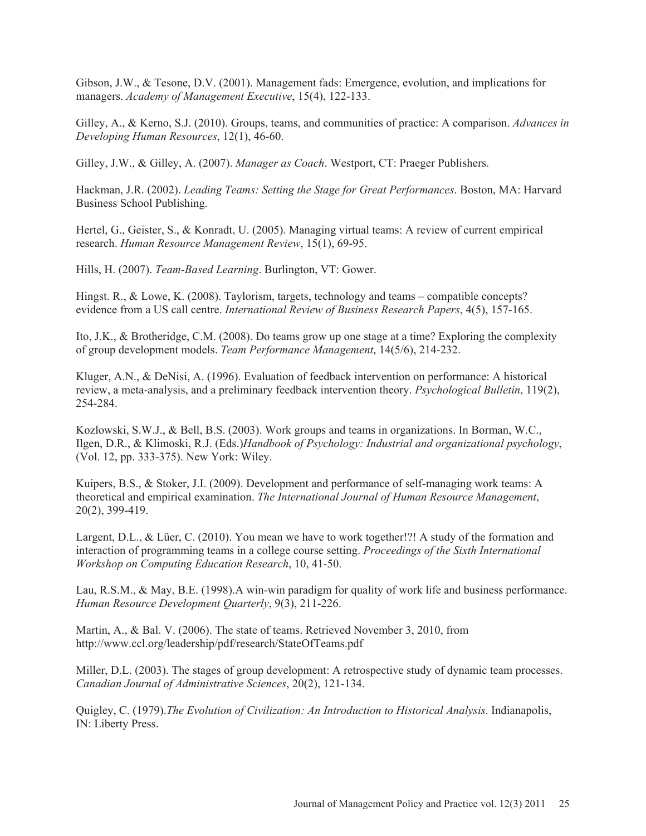Gibson, J.W., & Tesone, D.V. (2001). Management fads: Emergence, evolution, and implications for managers. *Academy of Management Executive*, 15(4), 122-133.

Gilley, A., & Kerno, S.J. (2010). Groups, teams, and communities of practice: A comparison. *Advances in Developing Human Resources*, 12(1), 46-60.

Gilley, J.W., & Gilley, A. (2007). *Manager as Coach*. Westport, CT: Praeger Publishers.

Hackman, J.R. (2002). *Leading Teams: Setting the Stage for Great Performances*. Boston, MA: Harvard Business School Publishing.

Hertel, G., Geister, S., & Konradt, U. (2005). Managing virtual teams: A review of current empirical research. *Human Resource Management Review*, 15(1), 69-95.

Hills, H. (2007). *Team-Based Learning*. Burlington, VT: Gower.

Hingst. R., & Lowe, K. (2008). Taylorism, targets, technology and teams – compatible concepts? evidence from a US call centre. *International Review of Business Research Papers*, 4(5), 157-165.

Ito, J.K., & Brotheridge, C.M. (2008). Do teams grow up one stage at a time? Exploring the complexity of group development models. *Team Performance Management*, 14(5/6), 214-232.

Kluger, A.N., & DeNisi, A. (1996). Evaluation of feedback intervention on performance: A historical review, a meta-analysis, and a preliminary feedback intervention theory. *Psychological Bulletin*, 119(2), 254-284.

Kozlowski, S.W.J., & Bell, B.S. (2003). Work groups and teams in organizations. In Borman, W.C., Ilgen, D.R., & Klimoski, R.J. (Eds.)*Handbook of Psychology: Industrial and organizational psychology*, (Vol. 12, pp. 333-375). New York: Wiley.

Kuipers, B.S., & Stoker, J.I. (2009). Development and performance of self-managing work teams: A theoretical and empirical examination. *The International Journal of Human Resource Management*, 20(2), 399-419.

Largent, D.L., & Lüer, C. (2010). You mean we have to work together!?! A study of the formation and interaction of programming teams in a college course setting. *Proceedings of the Sixth International Workshop on Computing Education Research*, 10, 41-50.

Lau, R.S.M., & May, B.E. (1998).A win-win paradigm for quality of work life and business performance. *Human Resource Development Quarterly*, 9(3), 211-226.

Martin, A., & Bal. V. (2006). The state of teams. Retrieved November 3, 2010, from http://www.ccl.org/leadership/pdf/research/StateOfTeams.pdf

Miller, D.L. (2003). The stages of group development: A retrospective study of dynamic team processes. *Canadian Journal of Administrative Sciences*, 20(2), 121-134.

Quigley, C. (1979).*The Evolution of Civilization: An Introduction to Historical Analysis*. Indianapolis, IN: Liberty Press.